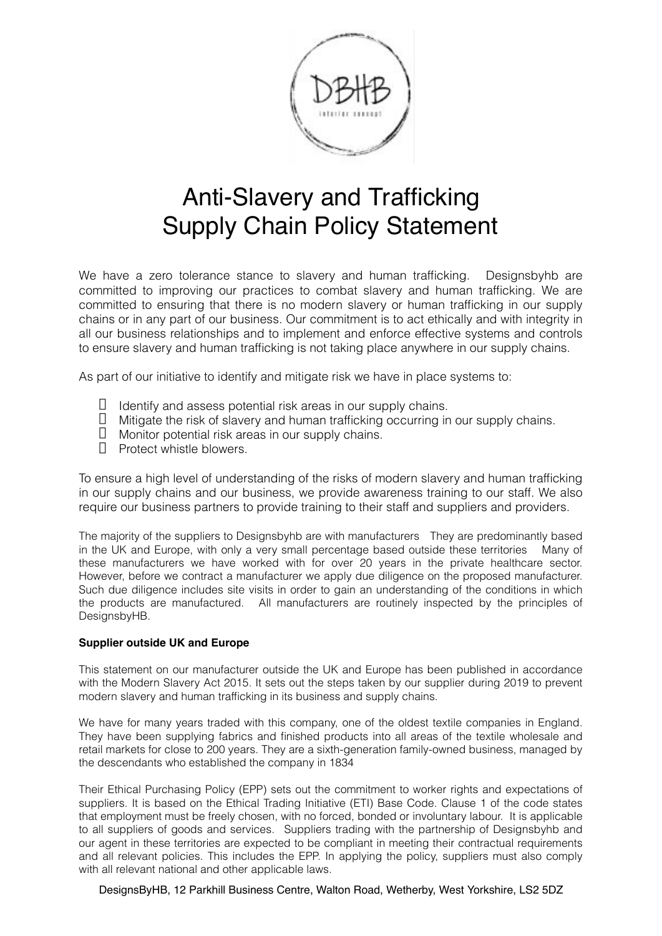

## Anti-Slavery and Trafficking Supply Chain Policy Statement

We have a zero tolerance stance to slavery and human trafficking. Designsbyhb are committed to improving our practices to combat slavery and human trafficking. We are committed to ensuring that there is no modern slavery or human trafficking in our supply chains or in any part of our business. Our commitment is to act ethically and with integrity in all our business relationships and to implement and enforce effective systems and controls to ensure slavery and human trafficking is not taking place anywhere in our supply chains.

As part of our initiative to identify and mitigate risk we have in place systems to:

- $\Box$  Identify and assess potential risk areas in our supply chains.
- $\Box$  Mitigate the risk of slavery and human trafficking occurring in our supply chains.
- $\Box$  Monitor potential risk areas in our supply chains.
- $\Box$  Protect whistle blowers.

To ensure a high level of understanding of the risks of modern slavery and human trafficking in our supply chains and our business, we provide awareness training to our staff. We also require our business partners to provide training to their staff and suppliers and providers.

The majority of the suppliers to Designsbyhb are with manufacturers They are predominantly based in the UK and Europe, with only a very small percentage based outside these territories Many of these manufacturers we have worked with for over 20 years in the private healthcare sector. However, before we contract a manufacturer we apply due diligence on the proposed manufacturer. Such due diligence includes site visits in order to gain an understanding of the conditions in which the products are manufactured. All manufacturers are routinely inspected by the principles of DesignsbyHB.

## **Supplier outside UK and Europe**

This statement on our manufacturer outside the UK and Europe has been published in accordance with the Modern Slavery Act 2015. It sets out the steps taken by our supplier during 2019 to prevent modern slavery and human trafficking in its business and supply chains.

We have for many years traded with this company, one of the oldest textile companies in England. They have been supplying fabrics and finished products into all areas of the textile wholesale and retail markets for close to 200 years. They are a sixth-generation family-owned business, managed by the descendants who established the company in 1834

Their Ethical Purchasing Policy (EPP) sets out the commitment to worker rights and expectations of suppliers. It is based on the Ethical Trading Initiative (ETI) Base Code. Clause 1 of the code states that employment must be freely chosen, with no forced, bonded or involuntary labour. It is applicable to all suppliers of goods and services. Suppliers trading with the partnership of Designsbyhb and our agent in these territories are expected to be compliant in meeting their contractual requirements and all relevant policies. This includes the EPP. In applying the policy, suppliers must also comply with all relevant national and other applicable laws.

DesignsByHB, 12 Parkhill Business Centre, Walton Road, Wetherby, West Yorkshire, LS2 5DZ